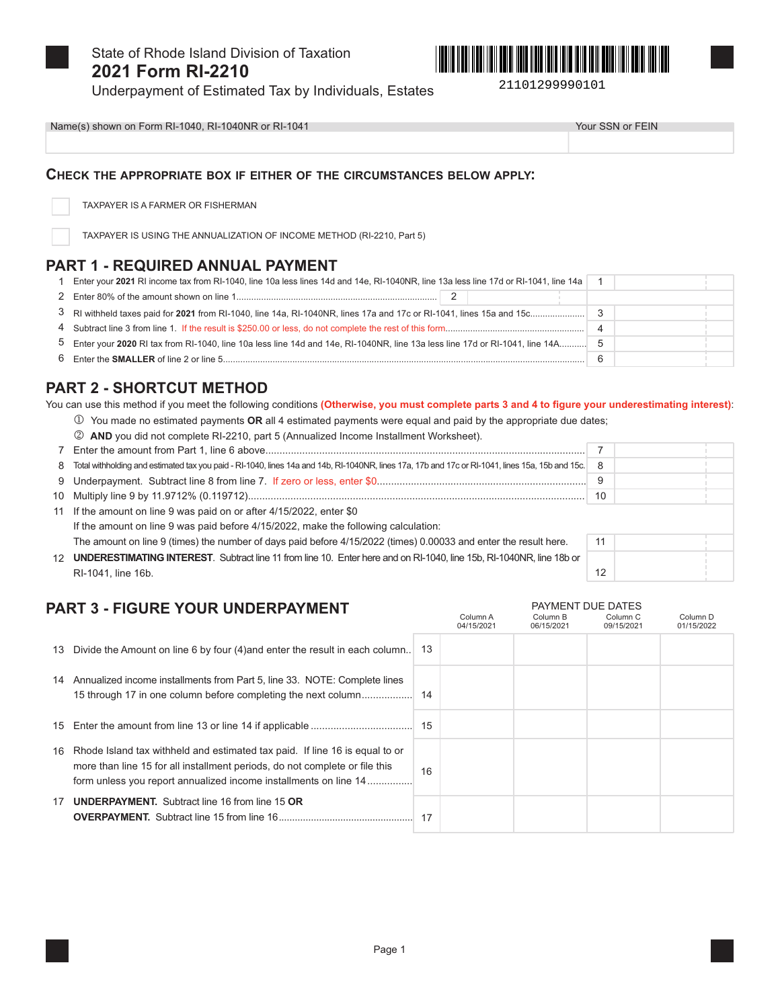

State of Rhode Island Division of Taxation 2021 Form RI-2210



21101299990101

Underpayment of Estimated Tax by Individuals, Estates

Name(s) shown on Form RI-1040, RI-1040NR or RI-1041

Your SSN or FEIN

 $12$ 

Column<sub>C</sub>

Column<sub>D</sub>

PAYMENT DUE DATES

Column B

### CHECK THE APPROPRIATE BOX IF EITHER OF THE CIRCUMSTANCES BELOW APPLY:

TAXPAYER IS A FARMER OR FISHERMAN

TAXPAYER IS USING THE ANNUALIZATION OF INCOME METHOD (RI-2210, Part 5)

### PART 1 - REQUIRED ANNUAL PAYMENT

| 1 Enter your 2021 RI income tax from RI-1040, line 10a less lines 14d and 14e, RI-1040NR, line 13a less line 17d or RI-1041, line 14a |                |  |
|---------------------------------------------------------------------------------------------------------------------------------------|----------------|--|
|                                                                                                                                       |                |  |
|                                                                                                                                       |                |  |
|                                                                                                                                       | $\overline{A}$ |  |
|                                                                                                                                       |                |  |
|                                                                                                                                       |                |  |

# **PART 2 - SHORTCUT METHOD**

You can use this method if you meet the following conditions (Otherwise, you must complete parts 3 and 4 to figure your underestimating interest):

- 10 You made no estimated payments OR all 4 estimated payments were equal and paid by the appropriate due dates;
- 2 AND you did not complete RI-2210, part 5 (Annualized Income Installment Worksheet).

| 8 | Total withholding and estimated tax you paid - RI-1040, lines 14a and 14b, RI-1040NR, lines 17a, 17b and 17c or RI-1041, lines 15a, 15b and 15c.<br>8<br>9 |    |  |
|---|------------------------------------------------------------------------------------------------------------------------------------------------------------|----|--|
|   |                                                                                                                                                            |    |  |
|   |                                                                                                                                                            | 10 |  |
|   | 11 If the amount on line 9 was paid on or after 4/15/2022, enter \$0                                                                                       |    |  |
|   | If the amount on line 9 was paid before 4/15/2022, make the following calculation:                                                                         |    |  |
|   | The amount on line 9 (times) the number of days paid before 4/15/2022 (times) 0.00033 and enter the result here.                                           | 11 |  |
|   | <b>ILINDEDESTIMATING INTEDEST</b> Subtract line 11 from line 10. Enter here and on RL1040 line 15b, RL1040NR line 18b or                                   |    |  |

Column A

**UNDERESTIMATING INTEREST.** Subtract line 11 from line 10. Enter here and on RI-1040, line 12 RI-1041, line 16b.

## **PART 3 - FIGURE YOUR UNDERPAYMENT**

|    |                                                                                                                                                                                                                                |    | 04/15/2021 | 06/15/2021 | 09/15/2021 | 01/15/2022 |
|----|--------------------------------------------------------------------------------------------------------------------------------------------------------------------------------------------------------------------------------|----|------------|------------|------------|------------|
|    | 13 Divide the Amount on line 6 by four (4) and enter the result in each column.                                                                                                                                                | 13 |            |            |            |            |
|    | 14 Annualized income installments from Part 5, line 33. NOTE: Complete lines                                                                                                                                                   |    |            |            |            |            |
|    |                                                                                                                                                                                                                                | 15 |            |            |            |            |
| 16 | Rhode Island tax withheld and estimated tax paid. If line 16 is equal to or<br>more than line 15 for all installment periods, do not complete or file this<br>form unless you report annualized income installments on line 14 | 16 |            |            |            |            |
| 17 | <b>UNDERPAYMENT.</b> Subtract line 16 from line 15 OR                                                                                                                                                                          | 17 |            |            |            |            |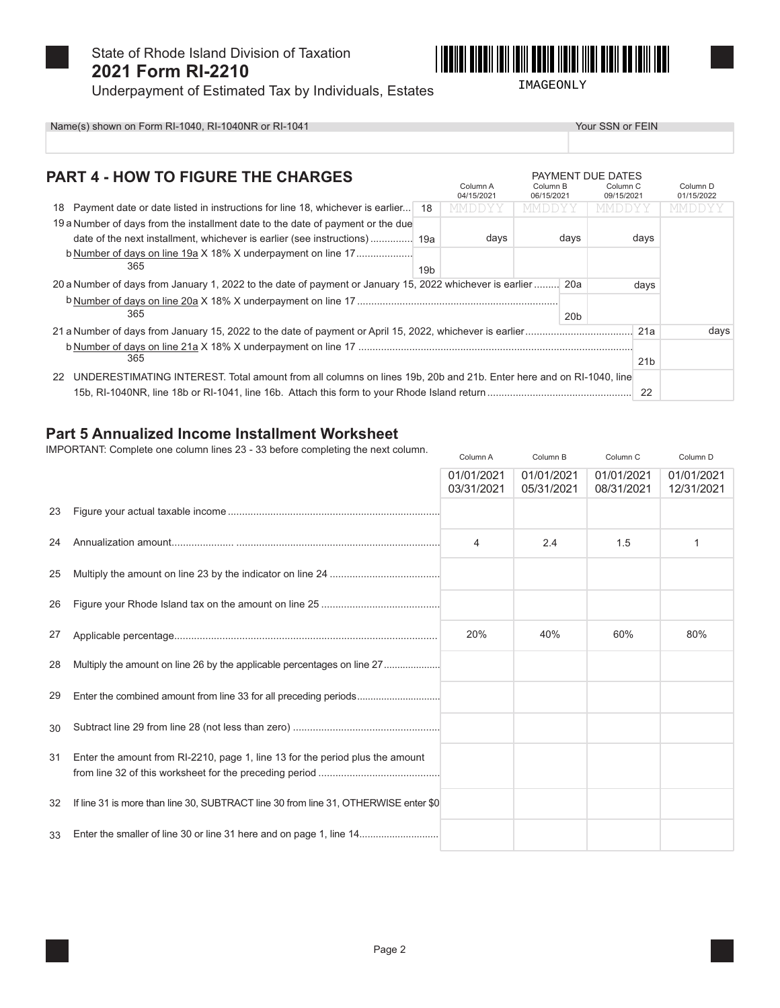

State of Rhode Island Division of Taxation 2021 Form RI-2210



IMAGEONLY

Underpayment of Estimated Tax by Individuals, Estates

|  | <u> III oo iyiii iyyi</u> |  |
|--|---------------------------|--|
|  |                           |  |

Your SSN or FEIN

Name(s) shown on Form RI-1040, RI-1040NR or RI-1041

| <b>PART 4 - HOW TO FIGURE THE CHARGES</b>                                                                                |                 | Column A<br>04/15/2021 | Column B<br>06/15/2021 |                 | PAYMENT DUE DATES<br>Column <sub>C</sub><br>09/15/2021 |                 | Column <sub>D</sub><br>01/15/2022 |
|--------------------------------------------------------------------------------------------------------------------------|-----------------|------------------------|------------------------|-----------------|--------------------------------------------------------|-----------------|-----------------------------------|
| 18 Payment date or date listed in instructions for line 18, whichever is earlier 18                                      |                 | MMDDYY                 | <b>MMDDYY</b>          |                 | <b>MMDDYY</b>                                          |                 | MMDDYY                            |
| 19 a Number of days from the installment date to the date of payment or the due                                          |                 |                        |                        |                 |                                                        |                 |                                   |
|                                                                                                                          |                 | days                   |                        | days            |                                                        | days            |                                   |
| b Number of days on line 19a X 18% X underpayment on line 17<br>365                                                      | 19 <sub>b</sub> |                        |                        |                 |                                                        |                 |                                   |
| 20 a Number of days from January 1, 2022 to the date of payment or January 15, 2022 whichever is earlier  20a            |                 |                        |                        |                 |                                                        | days            |                                   |
| 365                                                                                                                      |                 |                        |                        | 20 <sub>b</sub> |                                                        |                 |                                   |
|                                                                                                                          |                 |                        |                        |                 |                                                        |                 | days                              |
| 365                                                                                                                      |                 |                        |                        |                 |                                                        | 21 <sub>b</sub> |                                   |
| UNDERESTIMATING INTEREST. Total amount from all columns on lines 19b, 20b and 21b. Enter here and on RI-1040, line<br>22 |                 |                        |                        |                 |                                                        |                 |                                   |

### **Part 5 Annualized Income Installment Worksheet**

IMPORTANT: Complete one column lines 23 - 33 before completing the next column.

|    |                                                                                     | Column A                 | Column B                 | Column C                 | Column D                 |
|----|-------------------------------------------------------------------------------------|--------------------------|--------------------------|--------------------------|--------------------------|
|    |                                                                                     | 01/01/2021<br>03/31/2021 | 01/01/2021<br>05/31/2021 | 01/01/2021<br>08/31/2021 | 01/01/2021<br>12/31/2021 |
| 23 |                                                                                     |                          |                          |                          |                          |
| 24 |                                                                                     | $\overline{4}$           | 2.4                      | 1.5                      | 1                        |
| 25 |                                                                                     |                          |                          |                          |                          |
| 26 |                                                                                     |                          |                          |                          |                          |
| 27 |                                                                                     | 20%                      | 40%                      | 60%                      | 80%                      |
| 28 | Multiply the amount on line 26 by the applicable percentages on line 27             |                          |                          |                          |                          |
| 29 |                                                                                     |                          |                          |                          |                          |
| 30 |                                                                                     |                          |                          |                          |                          |
| 31 | Enter the amount from RI-2210, page 1, line 13 for the period plus the amount       |                          |                          |                          |                          |
| 32 | If line 31 is more than line 30, SUBTRACT line 30 from line 31, OTHERWISE enter \$0 |                          |                          |                          |                          |
| 33 | Enter the smaller of line 30 or line 31 here and on page 1, line 14                 |                          |                          |                          |                          |